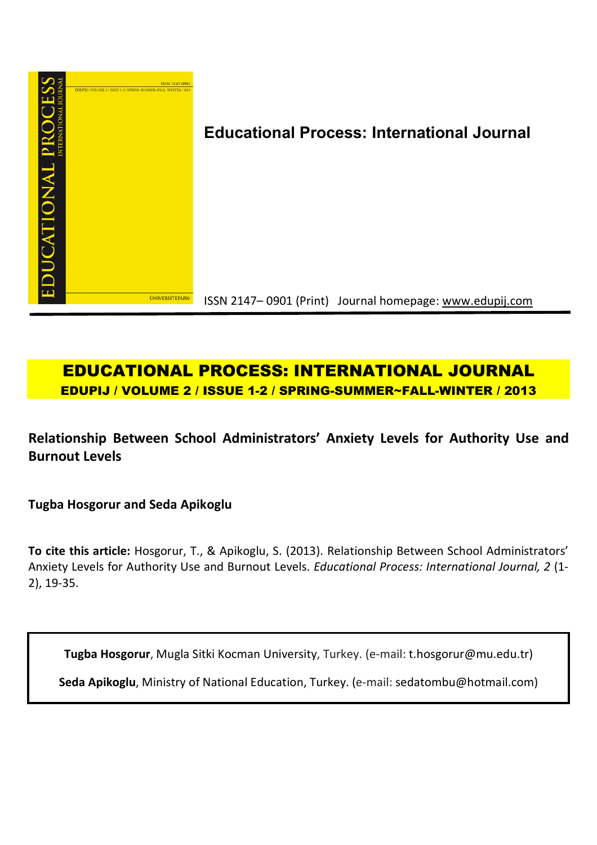

# **Educational Process: International Journal**

ISSN 2147– 0901 (Print) Journal homepage: www.edupij.com

# **EDUCATIONAL PROCESS: INTERNATIONAL JOURNAL EDUPIJ / VOLUME 2 / ISSUE 1-2 / SPRING-SUMMER~FALL-WINTER / 2013**

**Relationship Between School Administrators' Anxiety Levels for Authority Use and Burnout Levels**

**Tugba Hosgorur and Seda Apikoglu**

**To cite this article:** Hosgorur, T., & Apikoglu, S. (2013). Relationship Between School Administrators' Anxiety Levels for Authority Use and Burnout Levels. *Educational Process: International Journal, 2* (1- 2), 19-35.

**Tugba Hosgorur**, Mugla Sitki Kocman University, Turkey. (e-mail: t.hosgorur@mu.edu.tr)

**Seda Apikoglu**, Ministry of National Education, Turkey. (e-mail: sedatombu@hotmail.com)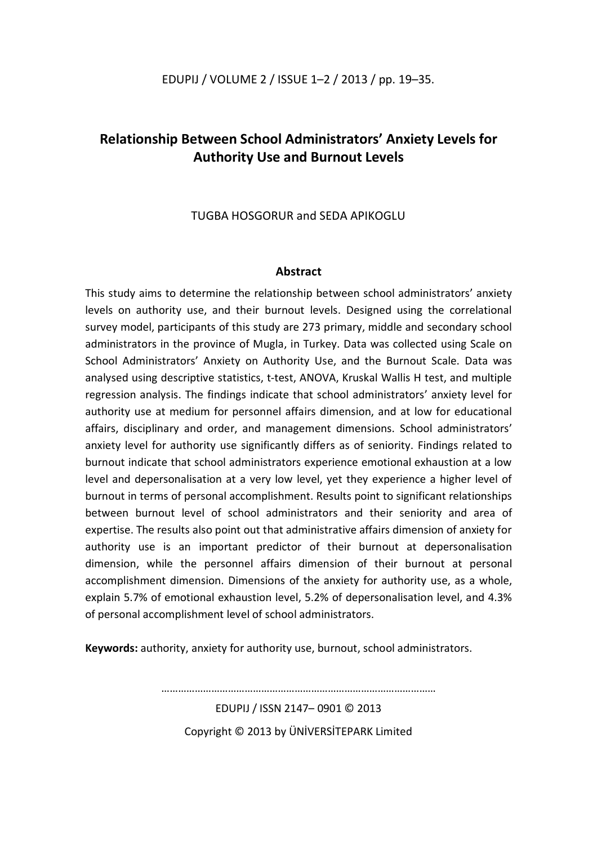# **Relationship Between School Administrators' Anxiety Levels for Authority Use and Burnout Levels**

TUGBA HOSGORUR and SEDA APIKOGLU

# **Abstract**

This study aims to determine the relationship between school administrators' anxiety levels on authority use, and their burnout levels. Designed using the correlational survey model, participants of this study are 273 primary, middle and secondary school administrators in the province of Mugla, in Turkey. Data was collected using Scale on School Administrators' Anxiety on Authority Use, and the Burnout Scale. Data was analysed using descriptive statistics, t-test, ANOVA, Kruskal Wallis H test, and multiple regression analysis. The findings indicate that school administrators' anxiety level for authority use at medium for personnel affairs dimension, and at low for educational affairs, disciplinary and order, and management dimensions. School administrators' anxiety level for authority use significantly differs as of seniority. Findings related to burnout indicate that school administrators experience emotional exhaustion at a low level and depersonalisation at a very low level, yet they experience a higher level of burnout in terms of personal accomplishment. Results point to significant relationships between burnout level of school administrators and their seniority and area of expertise. The results also point out that administrative affairs dimension of anxiety for authority use is an important predictor of their burnout at depersonalisation dimension, while the personnel affairs dimension of their burnout at personal accomplishment dimension. Dimensions of the anxiety for authority use, as a whole, explain 5.7% of emotional exhaustion level, 5.2% of depersonalisation level, and 4.3% of personal accomplishment level of school administrators.

**Keywords:** authority, anxiety for authority use, burnout, school administrators.

EDUPIJ / ISSN 2147– 0901 © 2013 Copyright © 2013 by ÜNİVERSİTEPARK Limited

. The same state of the same state of the same state of the same state of the same state of the same state of the same state of the same state of the same state of the same state of the same state of the same state of the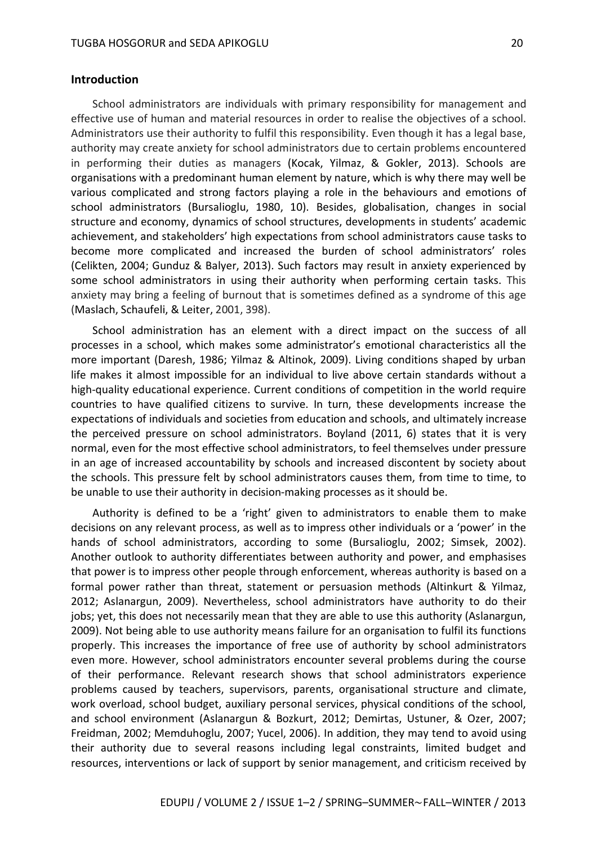## **Introduction**

School administrators are individuals with primary responsibility for management and effective use of human and material resources in order to realise the objectives of a school. Administrators use their authority to fulfil this responsibility. Even though it has a legal base, authority may create anxiety for school administrators due to certain problems encountered in performing their duties as managers (Kocak, Yilmaz, & Gokler, 2013). Schools are organisations with a predominant human element by nature, which is why there may well be various complicated and strong factors playing a role in the behaviours and emotions of school administrators (Bursalioglu, 1980, 10). Besides, globalisation, changes in social structure and economy, dynamics of school structures, developments in students' academic achievement, and stakeholders' high expectations from school administrators cause tasks to become more complicated and increased the burden of school administrators' roles (Celikten, 2004; Gunduz & Balyer, 2013). Such factors may result in anxiety experienced by some school administrators in using their authority when performing certain tasks. This anxiety may bring a feeling of burnout that is sometimes defined as a syndrome of this age (Maslach, Schaufeli, & Leiter, 2001, 398).

School administration has an element with a direct impact on the success of all processes in a school, which makes some administrator's emotional characteristics all the more important (Daresh, 1986; Yilmaz & Altinok, 2009). Living conditions shaped by urban life makes it almost impossible for an individual to live above certain standards without a high-quality educational experience. Current conditions of competition in the world require countries to have qualified citizens to survive. In turn, these developments increase the expectations of individuals and societies from education and schools, and ultimately increase the perceived pressure on school administrators. Boyland (2011, 6) states that it is very normal, even for the most effective school administrators, to feel themselves under pressure in an age of increased accountability by schools and increased discontent by society about the schools. This pressure felt by school administrators causes them, from time to time, to be unable to use their authority in decision-making processes as it should be.

Authority is defined to be a 'right' given to administrators to enable them to make decisions on any relevant process, as well as to impress other individuals or a 'power' in the hands of school administrators, according to some (Bursalioglu, 2002; Simsek, 2002). Another outlook to authority differentiates between authority and power, and emphasises that power is to impress other people through enforcement, whereas authority is based on a formal power rather than threat, statement or persuasion methods (Altinkurt & Yilmaz, 2012; Aslanargun, 2009). Nevertheless, school administrators have authority to do their jobs; yet, this does not necessarily mean that they are able to use this authority (Aslanargun, 2009). Not being able to use authority means failure for an organisation to fulfil its functions properly. This increases the importance of free use of authority by school administrators even more. However, school administrators encounter several problems during the course of their performance. Relevant research shows that school administrators experience problems caused by teachers, supervisors, parents, organisational structure and climate, work overload, school budget, auxiliary personal services, physical conditions of the school, and school environment (Aslanargun & Bozkurt, 2012; Demirtas, Ustuner, & Ozer, 2007; Freidman, 2002; Memduhoglu, 2007; Yucel, 2006). In addition, they may tend to avoid using their authority due to several reasons including legal constraints, limited budget and resources, interventions or lack of support by senior management, and criticism received by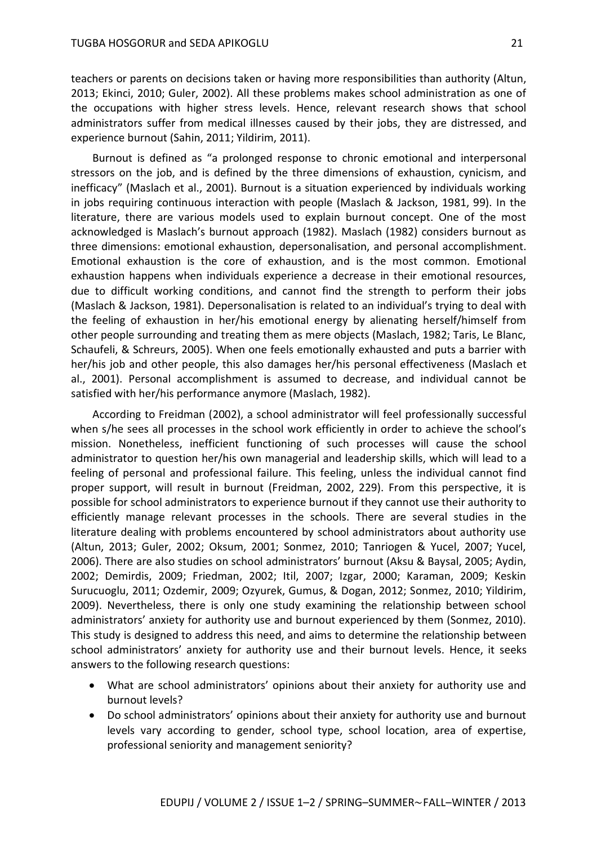teachers or parents on decisions taken or having more responsibilities than authority (Altun, 2013; Ekinci, 2010; Guler, 2002). All these problems makes school administration as one of the occupations with higher stress levels. Hence, relevant research shows that school administrators suffer from medical illnesses caused by their jobs, they are distressed, and experience burnout (Sahin, 2011; Yildirim, 2011).

Burnout is defined as "a prolonged response to chronic emotional and interpersonal stressors on the job, and is defined by the three dimensions of exhaustion, cynicism, and inefficacy" (Maslach et al., 2001). Burnout is a situation experienced by individuals working in jobs requiring continuous interaction with people (Maslach & Jackson, 1981, 99). In the literature, there are various models used to explain burnout concept. One of the most acknowledged is Maslach's burnout approach (1982). Maslach (1982) considers burnout as three dimensions: emotional exhaustion, depersonalisation, and personal accomplishment. Emotional exhaustion is the core of exhaustion, and is the most common. Emotional exhaustion happens when individuals experience a decrease in their emotional resources, due to difficult working conditions, and cannot find the strength to perform their jobs (Maslach & Jackson, 1981). Depersonalisation is related to an individual's trying to deal with the feeling of exhaustion in her/his emotional energy by alienating herself/himself from other people surrounding and treating them as mere objects (Maslach, 1982; Taris, Le Blanc, Schaufeli, & Schreurs, 2005). When one feels emotionally exhausted and puts a barrier with her/his job and other people, this also damages her/his personal effectiveness (Maslach et al., 2001). Personal accomplishment is assumed to decrease, and individual cannot be satisfied with her/his performance anymore (Maslach, 1982).

According to Freidman (2002), a school administrator will feel professionally successful when s/he sees all processes in the school work efficiently in order to achieve the school's mission. Nonetheless, inefficient functioning of such processes will cause the school administrator to question her/his own managerial and leadership skills, which will lead to a feeling of personal and professional failure. This feeling, unless the individual cannot find proper support, will result in burnout (Freidman, 2002, 229). From this perspective, it is possible for school administrators to experience burnout if they cannot use their authority to efficiently manage relevant processes in the schools. There are several studies in the literature dealing with problems encountered by school administrators about authority use (Altun, 2013; Guler, 2002; Oksum, 2001; Sonmez, 2010; Tanriogen & Yucel, 2007; Yucel, 2006). There are also studies on school administrators' burnout (Aksu & Baysal, 2005; Aydin, 2002; Demirdis, 2009; Friedman, 2002; Itil, 2007; Izgar, 2000; Karaman, 2009; Keskin Surucuoglu, 2011; Ozdemir, 2009; Ozyurek, Gumus, & Dogan, 2012; Sonmez, 2010; Yildirim, 2009). Nevertheless, there is only one study examining the relationship between school administrators' anxiety for authority use and burnout experienced by them (Sonmez, 2010). This study is designed to address this need, and aims to determine the relationship between school administrators' anxiety for authority use and their burnout levels. Hence, it seeks answers to the following research questions:

- What are school administrators' opinions about their anxiety for authority use and burnout levels?
- Do school administrators' opinions about their anxiety for authority use and burnout levels vary according to gender, school type, school location, area of expertise, professional seniority and management seniority?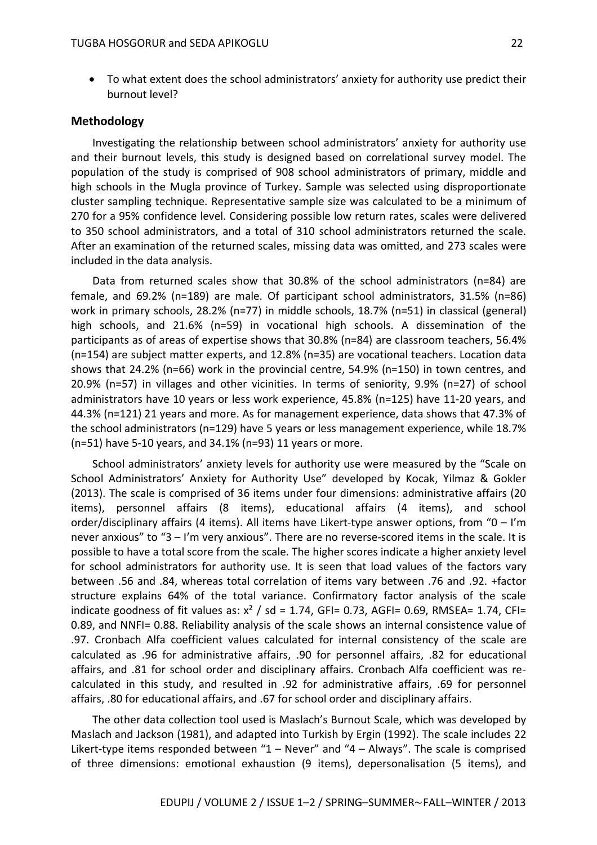To what extent does the school administrators' anxiety for authority use predict their burnout level?

#### **Methodology**

Investigating the relationship between school administrators' anxiety for authority use and their burnout levels, this study is designed based on correlational survey model. The population of the study is comprised of 908 school administrators of primary, middle and high schools in the Mugla province of Turkey. Sample was selected using disproportionate cluster sampling technique. Representative sample size was calculated to be a minimum of 270 for a 95% confidence level. Considering possible low return rates, scales were delivered to 350 school administrators, and a total of 310 school administrators returned the scale. After an examination of the returned scales, missing data was omitted, and 273 scales were included in the data analysis.

Data from returned scales show that 30.8% of the school administrators (n=84) are female, and 69.2% (n=189) are male. Of participant school administrators, 31.5% (n=86) work in primary schools, 28.2% (n=77) in middle schools, 18.7% (n=51) in classical (general) high schools, and 21.6% (n=59) in vocational high schools. A dissemination of the participants as of areas of expertise shows that 30.8% (n=84) are classroom teachers, 56.4% (n=154) are subject matter experts, and 12.8% (n=35) are vocational teachers. Location data shows that 24.2% (n=66) work in the provincial centre, 54.9% (n=150) in town centres, and 20.9% (n=57) in villages and other vicinities. In terms of seniority, 9.9% (n=27) of school administrators have 10 years or less work experience, 45.8% (n=125) have 11-20 years, and 44.3% (n=121) 21 years and more. As for management experience, data shows that 47.3% of the school administrators (n=129) have 5 years or less management experience, while 18.7% (n=51) have 5-10 years, and 34.1% (n=93) 11 years or more.

School administrators' anxiety levels for authority use were measured by the "Scale on School Administrators' Anxiety for Authority Use" developed by Kocak, Yilmaz & Gokler (2013). The scale is comprised of 36 items under four dimensions: administrative affairs (20 items), personnel affairs (8 items), educational affairs (4 items), and school order/disciplinary affairs (4 items). All items have Likert-type answer options, from "0 – I'm never anxious" to "3 – I'm very anxious". There are no reverse-scored items in the scale. It is possible to have a total score from the scale. The higher scores indicate a higher anxiety level for school administrators for authority use. It is seen that load values of the factors vary between .56 and .84, whereas total correlation of items vary between .76 and .92. +factor structure explains 64% of the total variance. Confirmatory factor analysis of the scale indicate goodness of fit values as:  $x^2$  / sd = 1.74, GFI= 0.73, AGFI= 0.69, RMSEA= 1.74, CFI= 0.89, and NNFI= 0.88. Reliability analysis of the scale shows an internal consistence value of .97. Cronbach Alfa coefficient values calculated for internal consistency of the scale are calculated as .96 for administrative affairs, .90 for personnel affairs, .82 for educational affairs, and .81 for school order and disciplinary affairs. Cronbach Alfa coefficient was recalculated in this study, and resulted in .92 for administrative affairs, .69 for personnel affairs, .80 for educational affairs, and .67 for school order and disciplinary affairs.

The other data collection tool used is Maslach's Burnout Scale, which was developed by Maslach and Jackson (1981), and adapted into Turkish by Ergin (1992). The scale includes 22 Likert-type items responded between "1 – Never" and "4 – Always". The scale is comprised of three dimensions: emotional exhaustion (9 items), depersonalisation (5 items), and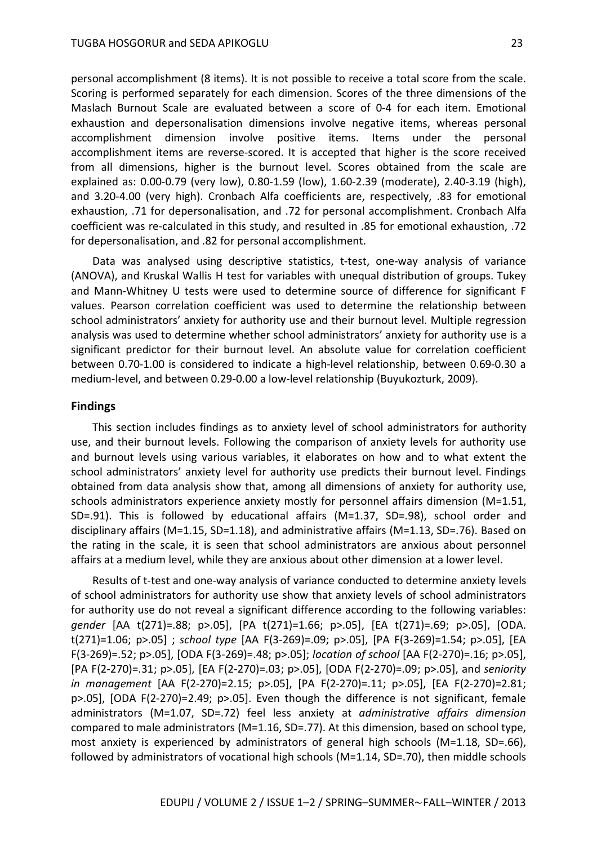personal accomplishment (8 items). It is not possible to receive a total score from the scale. Scoring is performed separately for each dimension. Scores of the three dimensions of the Maslach Burnout Scale are evaluated between a score of 0-4 for each item. Emotional exhaustion and depersonalisation dimensions involve negative items, whereas personal accomplishment dimension involve positive items. Items under the personal accomplishment items are reverse-scored. It is accepted that higher is the score received from all dimensions, higher is the burnout level. Scores obtained from the scale are explained as: 0.00-0.79 (very low), 0.80-1.59 (low), 1.60-2.39 (moderate), 2.40-3.19 (high), and 3.20-4.00 (very high). Cronbach Alfa coefficients are, respectively, .83 for emotional exhaustion, .71 for depersonalisation, and .72 for personal accomplishment. Cronbach Alfa coefficient was re-calculated in this study, and resulted in .85 for emotional exhaustion, .72 for depersonalisation, and .82 for personal accomplishment.

Data was analysed using descriptive statistics, t-test, one-way analysis of variance (ANOVA), and Kruskal Wallis H test for variables with unequal distribution of groups. Tukey and Mann-Whitney U tests were used to determine source of difference for significant F values. Pearson correlation coefficient was used to determine the relationship between school administrators' anxiety for authority use and their burnout level. Multiple regression analysis was used to determine whether school administrators' anxiety for authority use is a significant predictor for their burnout level. An absolute value for correlation coefficient between 0.70-1.00 is considered to indicate a high-level relationship, between 0.69-0.30 a medium-level, and between 0.29-0.00 a low-level relationship (Buyukozturk, 2009).

## **Findings**

This section includes findings as to anxiety level of school administrators for authority use, and their burnout levels. Following the comparison of anxiety levels for authority use and burnout levels using various variables, it elaborates on how and to what extent the school administrators' anxiety level for authority use predicts their burnout level. Findings obtained from data analysis show that, among all dimensions of anxiety for authority use, schools administrators experience anxiety mostly for personnel affairs dimension (M=1.51, SD=.91). This is followed by educational affairs (M=1.37, SD=.98), school order and disciplinary affairs (M=1.15, SD=1.18), and administrative affairs (M=1.13, SD=.76). Based on the rating in the scale, it is seen that school administrators are anxious about personnel affairs at a medium level, while they are anxious about other dimension at a lower level.

Results of t-test and one-way analysis of variance conducted to determine anxiety levels of school administrators for authority use show that anxiety levels of school administrators for authority use do not reveal a significant difference according to the following variables: *gender* [AA t(271)=.88; p>.05], [PA t(271)=1.66; p>.05], [EA t(271)=.69; p>.05], [ODA. t(271)=1.06; p>.05] ; *school type* [AA F(3-269)=.09; p>.05], [PA F(3-269)=1.54; p>.05], [EA F(3-269)=.52; p>.05], [ODA F(3-269)=.48; p>.05]; *location of school* [AA F(2-270)=.16; p>.05], [PA F(2-270)=.31; p>.05], [EA F(2-270)=.03; p>.05], [ODA F(2-270)=.09; p>.05], and *seniority in management* [AA F(2-270)=2.15; p>.05], [PA F(2-270)=.11; p>.05], [EA F(2-270)=2.81; p>.05], [ODA F(2-270)=2.49; p>.05]. Even though the difference is not significant, female administrators (M=1.07, SD=.72) feel less anxiety at *administrative affairs dimension*  compared to male administrators (M=1.16, SD=.77). At this dimension, based on school type, most anxiety is experienced by administrators of general high schools (M=1.18, SD=.66), followed by administrators of vocational high schools (M=1.14, SD=.70), then middle schools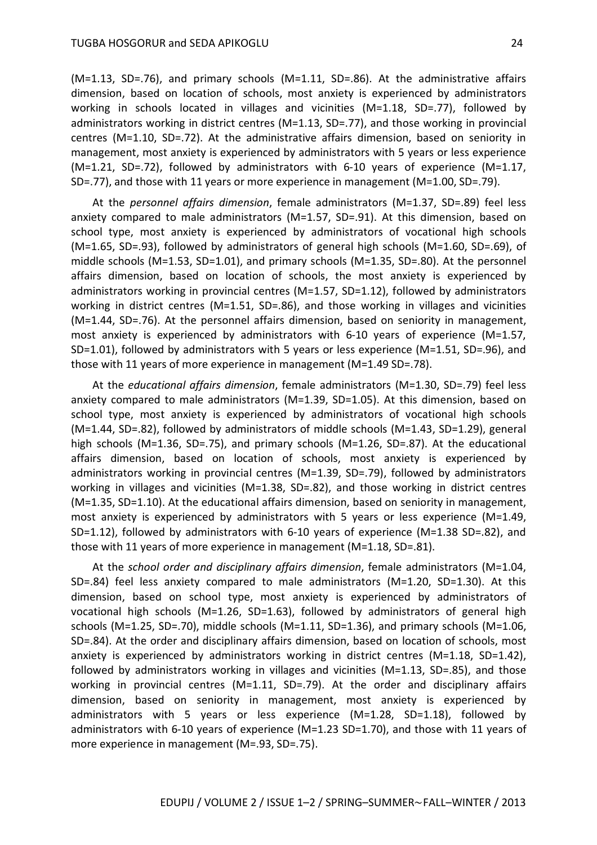(M=1.13, SD=.76), and primary schools (M=1.11, SD=.86). At the administrative affairs dimension, based on location of schools, most anxiety is experienced by administrators working in schools located in villages and vicinities (M=1.18, SD=.77), followed by administrators working in district centres (M=1.13, SD=.77), and those working in provincial centres (M=1.10, SD=.72). At the administrative affairs dimension, based on seniority in management, most anxiety is experienced by administrators with 5 years or less experience (M=1.21, SD=.72), followed by administrators with 6-10 years of experience (M=1.17, SD=.77), and those with 11 years or more experience in management (M=1.00, SD=.79).

At the *personnel affairs dimension*, female administrators (M=1.37, SD=.89) feel less anxiety compared to male administrators (M=1.57, SD=.91). At this dimension, based on school type, most anxiety is experienced by administrators of vocational high schools (M=1.65, SD=.93), followed by administrators of general high schools (M=1.60, SD=.69), of middle schools (M=1.53, SD=1.01), and primary schools (M=1.35, SD=.80). At the personnel affairs dimension, based on location of schools, the most anxiety is experienced by administrators working in provincial centres (M=1.57, SD=1.12), followed by administrators working in district centres (M=1.51, SD=.86), and those working in villages and vicinities (M=1.44, SD=.76). At the personnel affairs dimension, based on seniority in management, most anxiety is experienced by administrators with 6-10 years of experience (M=1.57, SD=1.01), followed by administrators with 5 years or less experience (M=1.51, SD=.96), and those with 11 years of more experience in management (M=1.49 SD=.78).

At the *educational affairs dimension*, female administrators (M=1.30, SD=.79) feel less anxiety compared to male administrators (M=1.39, SD=1.05). At this dimension, based on school type, most anxiety is experienced by administrators of vocational high schools (M=1.44, SD=.82), followed by administrators of middle schools (M=1.43, SD=1.29), general high schools (M=1.36, SD=.75), and primary schools (M=1.26, SD=.87). At the educational affairs dimension, based on location of schools, most anxiety is experienced by administrators working in provincial centres (M=1.39, SD=.79), followed by administrators working in villages and vicinities (M=1.38, SD=.82), and those working in district centres (M=1.35, SD=1.10). At the educational affairs dimension, based on seniority in management, most anxiety is experienced by administrators with 5 years or less experience (M=1.49, SD=1.12), followed by administrators with 6-10 years of experience (M=1.38 SD=.82), and those with 11 years of more experience in management (M=1.18, SD=.81).

At the *school order and disciplinary affairs dimension*, female administrators (M=1.04, SD=.84) feel less anxiety compared to male administrators (M=1.20, SD=1.30). At this dimension, based on school type, most anxiety is experienced by administrators of vocational high schools (M=1.26, SD=1.63), followed by administrators of general high schools (M=1.25, SD=.70), middle schools (M=1.11, SD=1.36), and primary schools (M=1.06, SD=.84). At the order and disciplinary affairs dimension, based on location of schools, most anxiety is experienced by administrators working in district centres (M=1.18, SD=1.42), followed by administrators working in villages and vicinities (M=1.13, SD=.85), and those working in provincial centres (M=1.11, SD=.79). At the order and disciplinary affairs dimension, based on seniority in management, most anxiety is experienced by administrators with 5 years or less experience (M=1.28, SD=1.18), followed by administrators with 6-10 years of experience (M=1.23 SD=1.70), and those with 11 years of more experience in management (M=.93, SD=.75).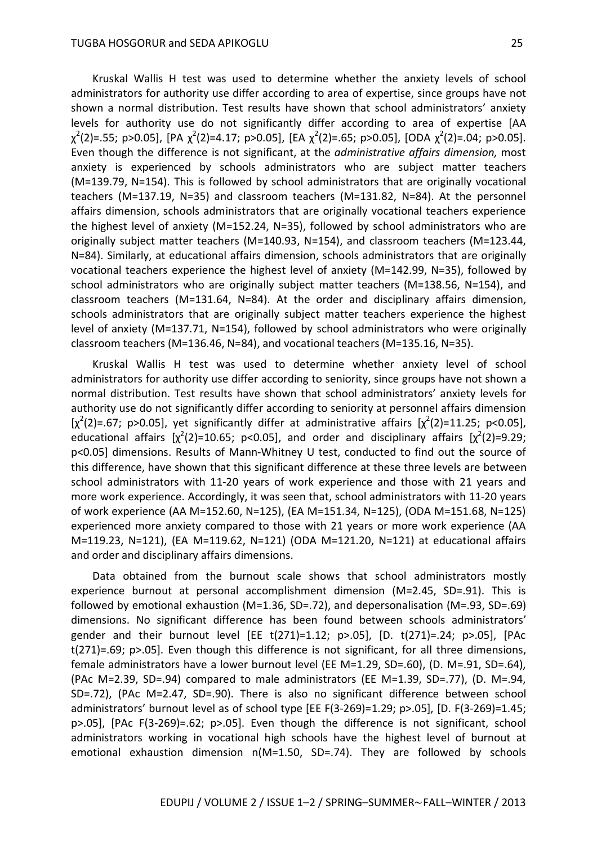Kruskal Wallis H test was used to determine whether the anxiety levels of school administrators for authority use differ according to area of expertise, since groups have not shown a normal distribution. Test results have shown that school administrators' anxiety levels for authority use do not significantly differ according to area of expertise [AA  $\chi^2$ (2)=.55; p>0.05], [PA  $\chi^2$ (2)=4.17; p>0.05], [EA  $\chi^2$ (2)=.65; p>0.05], [ODA  $\chi^2$ (2)=.04; p>0.05]. Even though the difference is not significant, at the *administrative affairs dimension,* most anxiety is experienced by schools administrators who are subject matter teachers (M=139.79, N=154). This is followed by school administrators that are originally vocational teachers (M=137.19, N=35) and classroom teachers (M=131.82, N=84). At the personnel affairs dimension, schools administrators that are originally vocational teachers experience the highest level of anxiety (M=152.24, N=35), followed by school administrators who are originally subject matter teachers (M=140.93, N=154), and classroom teachers (M=123.44, N=84). Similarly, at educational affairs dimension, schools administrators that are originally vocational teachers experience the highest level of anxiety (M=142.99, N=35), followed by school administrators who are originally subject matter teachers (M=138.56, N=154), and classroom teachers (M=131.64, N=84). At the order and disciplinary affairs dimension, schools administrators that are originally subject matter teachers experience the highest level of anxiety (M=137.71, N=154), followed by school administrators who were originally classroom teachers (M=136.46, N=84), and vocational teachers (M=135.16, N=35).

Kruskal Wallis H test was used to determine whether anxiety level of school administrators for authority use differ according to seniority, since groups have not shown a normal distribution. Test results have shown that school administrators' anxiety levels for authority use do not significantly differ according to seniority at personnel affairs dimension [ $\chi^2(2)$ =.67; p>0.05], yet significantly differ at administrative affairs [ $\chi^2(2)$ =11.25; p<0.05], educational affairs  $[\chi^2(2)=10.65; p<0.05]$ , and order and disciplinary affairs  $[\chi^2(2)=9.29;$ p<0.05] dimensions. Results of Mann-Whitney U test, conducted to find out the source of this difference, have shown that this significant difference at these three levels are between school administrators with 11-20 years of work experience and those with 21 years and more work experience. Accordingly, it was seen that, school administrators with 11-20 years of work experience (AA M=152.60, N=125), (EA M=151.34, N=125), (ODA M=151.68, N=125) experienced more anxiety compared to those with 21 years or more work experience (AA M=119.23, N=121), (EA M=119.62, N=121) (ODA M=121.20, N=121) at educational affairs and order and disciplinary affairs dimensions.

Data obtained from the burnout scale shows that school administrators mostly experience burnout at personal accomplishment dimension (M=2.45, SD=.91). This is followed by emotional exhaustion (M=1.36, SD=.72), and depersonalisation (M=.93, SD=.69) dimensions. No significant difference has been found between schools administrators' gender and their burnout level [EE t(271)=1.12; p>.05], [D. t(271)=.24; p>.05], [PAc t(271)=.69; p>.05]. Even though this difference is not significant, for all three dimensions, female administrators have a lower burnout level (EE M=1.29, SD=.60), (D. M=.91, SD=.64), (PAc M=2.39, SD=.94) compared to male administrators (EE M=1.39, SD=.77), (D. M=.94, SD=.72), (PAc M=2.47, SD=.90). There is also no significant difference between school administrators' burnout level as of school type [EE F(3-269)=1.29; p>.05], [D. F(3-269)=1.45; p>.05], [PAc F(3-269)=.62; p>.05]. Even though the difference is not significant, school administrators working in vocational high schools have the highest level of burnout at emotional exhaustion dimension n(M=1.50, SD=.74). They are followed by schools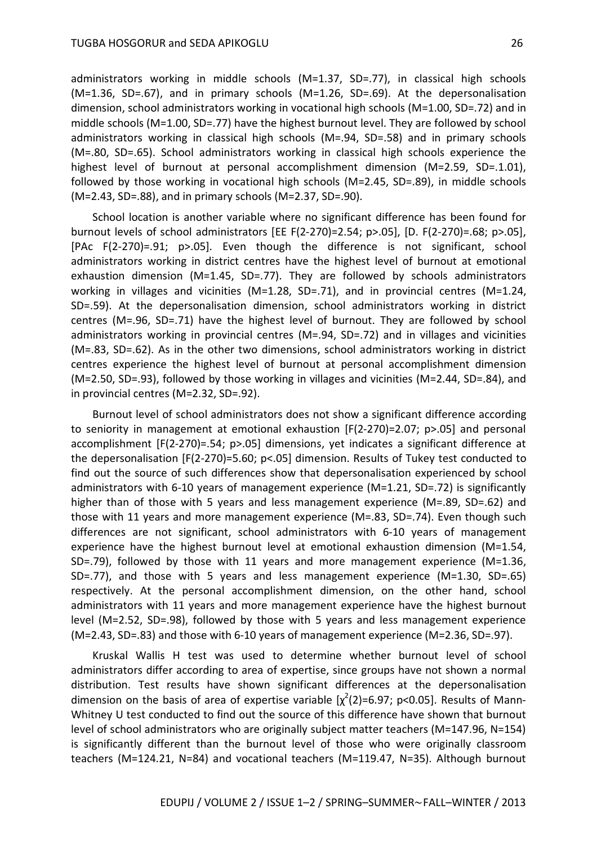administrators working in middle schools (M=1.37, SD=.77), in classical high schools (M=1.36, SD=.67), and in primary schools (M=1.26, SD=.69). At the depersonalisation dimension, school administrators working in vocational high schools (M=1.00, SD=.72) and in middle schools (M=1.00, SD=.77) have the highest burnout level. They are followed by school administrators working in classical high schools (M=.94, SD=.58) and in primary schools (M=.80, SD=.65). School administrators working in classical high schools experience the highest level of burnout at personal accomplishment dimension (M=2.59, SD=.1.01), followed by those working in vocational high schools (M=2.45, SD=.89), in middle schools (M=2.43, SD=.88), and in primary schools (M=2.37, SD=.90).

School location is another variable where no significant difference has been found for burnout levels of school administrators [EE F(2-270)=2.54; p>.05], [D. F(2-270)=.68; p>.05], [PAc F(2-270)=.91; p>.05]. Even though the difference is not significant, school administrators working in district centres have the highest level of burnout at emotional exhaustion dimension (M=1.45, SD=.77). They are followed by schools administrators working in villages and vicinities (M=1.28, SD=.71), and in provincial centres (M=1.24, SD=.59). At the depersonalisation dimension, school administrators working in district centres (M=.96, SD=.71) have the highest level of burnout. They are followed by school administrators working in provincial centres (M=.94, SD=.72) and in villages and vicinities (M=.83, SD=.62). As in the other two dimensions, school administrators working in district centres experience the highest level of burnout at personal accomplishment dimension (M=2.50, SD=.93), followed by those working in villages and vicinities (M=2.44, SD=.84), and in provincial centres (M=2.32, SD=.92).

Burnout level of school administrators does not show a significant difference according to seniority in management at emotional exhaustion [F(2-270)=2.07; p>.05] and personal accomplishment [F(2-270)=.54; p>.05] dimensions, yet indicates a significant difference at the depersonalisation [F(2-270)=5.60; p<.05] dimension. Results of Tukey test conducted to find out the source of such differences show that depersonalisation experienced by school administrators with 6-10 years of management experience (M=1.21, SD=.72) is significantly higher than of those with 5 years and less management experience (M=.89, SD=.62) and those with 11 years and more management experience (M=.83, SD=.74). Even though such differences are not significant, school administrators with 6-10 years of management experience have the highest burnout level at emotional exhaustion dimension (M=1.54, SD=.79), followed by those with 11 years and more management experience (M=1.36, SD=.77), and those with 5 years and less management experience (M=1.30, SD=.65) respectively. At the personal accomplishment dimension, on the other hand, school administrators with 11 years and more management experience have the highest burnout level (M=2.52, SD=.98), followed by those with 5 years and less management experience (M=2.43, SD=.83) and those with 6-10 years of management experience (M=2.36, SD=.97).

Kruskal Wallis H test was used to determine whether burnout level of school administrators differ according to area of expertise, since groups have not shown a normal distribution. Test results have shown significant differences at the depersonalisation dimension on the basis of area of expertise variable  $[\chi^2(2)=6.97;$  p<0.05]. Results of Mann-Whitney U test conducted to find out the source of this difference have shown that burnout level of school administrators who are originally subject matter teachers (M=147.96, N=154) is significantly different than the burnout level of those who were originally classroom teachers (M=124.21, N=84) and vocational teachers (M=119.47, N=35). Although burnout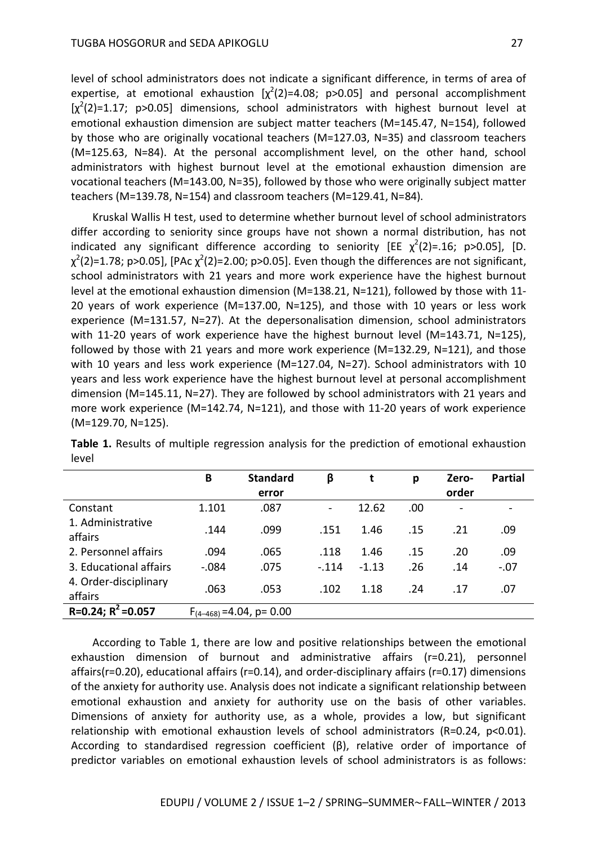level of school administrators does not indicate a significant difference, in terms of area of expertise, at emotional exhaustion  $[\chi^2(2)=4.08; p>0.05]$  and personal accomplishment  $[x^2(2)=1.17; p>0.05]$  dimensions, school administrators with highest burnout level at emotional exhaustion dimension are subject matter teachers (M=145.47, N=154), followed by those who are originally vocational teachers (M=127.03, N=35) and classroom teachers (M=125.63, N=84). At the personal accomplishment level, on the other hand, school administrators with highest burnout level at the emotional exhaustion dimension are vocational teachers (M=143.00, N=35), followed by those who were originally subject matter teachers (M=139.78, N=154) and classroom teachers (M=129.41, N=84).

Kruskal Wallis H test, used to determine whether burnout level of school administrators differ according to seniority since groups have not shown a normal distribution, has not indicated any significant difference according to seniority [EE  $\chi^2(2)$ =.16; p>0.05], [D.  $\chi^2$ (2)=1.78; p>0.05], [PAc  $\chi^2$ (2)=2.00; p>0.05]. Even though the differences are not significant, school administrators with 21 years and more work experience have the highest burnout level at the emotional exhaustion dimension (M=138.21, N=121), followed by those with 11- 20 years of work experience (M=137.00, N=125), and those with 10 years or less work experience (M=131.57, N=27). At the depersonalisation dimension, school administrators with 11-20 years of work experience have the highest burnout level (M=143.71, N=125), followed by those with 21 years and more work experience (M=132.29, N=121), and those with 10 years and less work experience (M=127.04, N=27). School administrators with 10 years and less work experience have the highest burnout level at personal accomplishment dimension (M=145.11, N=27). They are followed by school administrators with 21 years and more work experience (M=142.74, N=121), and those with 11-20 years of work experience (M=129.70, N=125).

|                                  | B       | <b>Standard</b>                | β              | t       | р   | Zero- | <b>Partial</b> |
|----------------------------------|---------|--------------------------------|----------------|---------|-----|-------|----------------|
|                                  |         | error                          |                |         |     | order |                |
| Constant                         | 1.101   | .087                           | $\blacksquare$ | 12.62   | .00 |       |                |
| 1. Administrative<br>affairs     | .144    | .099                           | .151           | 1.46    | .15 | .21   | .09            |
| 2. Personnel affairs             | .094    | .065                           | .118           | 1.46    | .15 | .20   | .09            |
| 3. Educational affairs           | $-.084$ | .075                           | $-.114$        | $-1.13$ | .26 | .14   | $-.07$         |
| 4. Order-disciplinary<br>affairs | .063    | .053                           | .102           | 1.18    | .24 | .17   | .07            |
| $R=0.24; R^2=0.057$              |         | $F_{(4-468)} = 4.04$ , p= 0.00 |                |         |     |       |                |

**Table 1.** Results of multiple regression analysis for the prediction of emotional exhaustion level

According to Table 1, there are low and positive relationships between the emotional exhaustion dimension of burnout and administrative affairs (r=0.21), personnel affairs(r=0.20), educational affairs (r=0.14), and order-disciplinary affairs (r=0.17) dimensions of the anxiety for authority use. Analysis does not indicate a significant relationship between emotional exhaustion and anxiety for authority use on the basis of other variables. Dimensions of anxiety for authority use, as a whole, provides a low, but significant relationship with emotional exhaustion levels of school administrators (R=0.24, p<0.01). According to standardised regression coefficient (β), relative order of importance of predictor variables on emotional exhaustion levels of school administrators is as follows: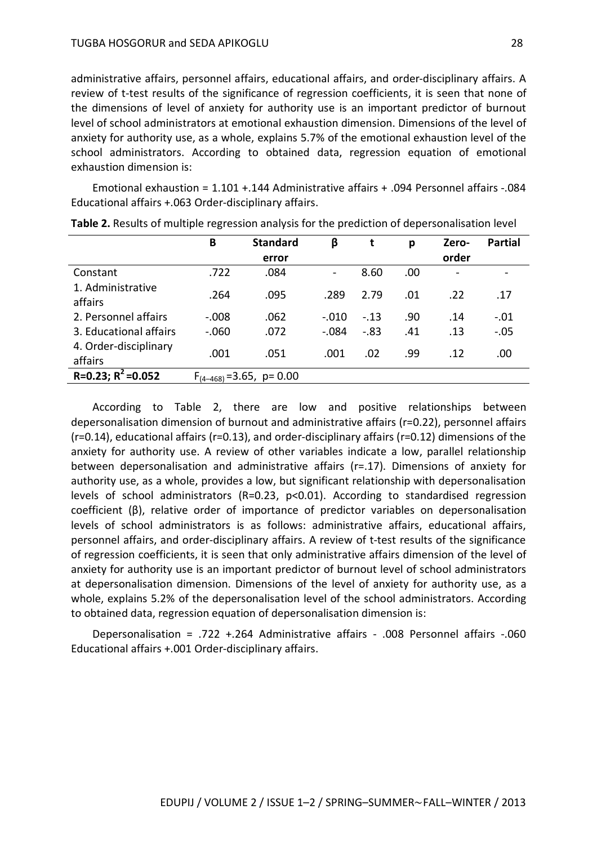administrative affairs, personnel affairs, educational affairs, and order-disciplinary affairs. A review of t-test results of the significance of regression coefficients, it is seen that none of the dimensions of level of anxiety for authority use is an important predictor of burnout level of school administrators at emotional exhaustion dimension. Dimensions of the level of anxiety for authority use, as a whole, explains 5.7% of the emotional exhaustion level of the school administrators. According to obtained data, regression equation of emotional exhaustion dimension is:

Emotional exhaustion = 1.101 +.144 Administrative affairs + .094 Personnel affairs -.084 Educational affairs +.063 Order-disciplinary affairs.

|                                  | B       | <b>Standard</b>                | β       | t      | p    | Zero-                    | <b>Partial</b> |
|----------------------------------|---------|--------------------------------|---------|--------|------|--------------------------|----------------|
|                                  |         | error                          |         |        |      | order                    |                |
| Constant                         | .722    | .084                           | -       | 8.60   | .00. | $\overline{\phantom{a}}$ |                |
| 1. Administrative<br>affairs     | .264    | .095                           | .289    | 2.79   | .01  | .22                      | .17            |
| 2. Personnel affairs             | $-.008$ | .062                           | $-.010$ | $-.13$ | .90  | .14                      | $-.01$         |
| 3. Educational affairs           | $-.060$ | .072                           | $-.084$ | $-.83$ | .41  | .13                      | $-.05$         |
| 4. Order-disciplinary<br>affairs | .001    | .051                           | .001    | .02    | .99  | .12                      | .00            |
| R=0.23; $R^2$ =0.052             |         | $F_{(4-468)} = 3.65$ , p= 0.00 |         |        |      |                          |                |

| Table 2. Results of multiple regression analysis for the prediction of depersonalisation level |  |  |  |
|------------------------------------------------------------------------------------------------|--|--|--|
|------------------------------------------------------------------------------------------------|--|--|--|

According to Table 2, there are low and positive relationships between depersonalisation dimension of burnout and administrative affairs (r=0.22), personnel affairs (r=0.14), educational affairs (r=0.13), and order-disciplinary affairs (r=0.12) dimensions of the anxiety for authority use. A review of other variables indicate a low, parallel relationship between depersonalisation and administrative affairs (r=.17). Dimensions of anxiety for authority use, as a whole, provides a low, but significant relationship with depersonalisation levels of school administrators  $(R=0.23, p<0.01)$ . According to standardised regression coefficient (β), relative order of importance of predictor variables on depersonalisation levels of school administrators is as follows: administrative affairs, educational affairs, personnel affairs, and order-disciplinary affairs. A review of t-test results of the significance of regression coefficients, it is seen that only administrative affairs dimension of the level of anxiety for authority use is an important predictor of burnout level of school administrators at depersonalisation dimension. Dimensions of the level of anxiety for authority use, as a whole, explains 5.2% of the depersonalisation level of the school administrators. According to obtained data, regression equation of depersonalisation dimension is:

Depersonalisation = .722 +.264 Administrative affairs - .008 Personnel affairs -.060 Educational affairs +.001 Order-disciplinary affairs.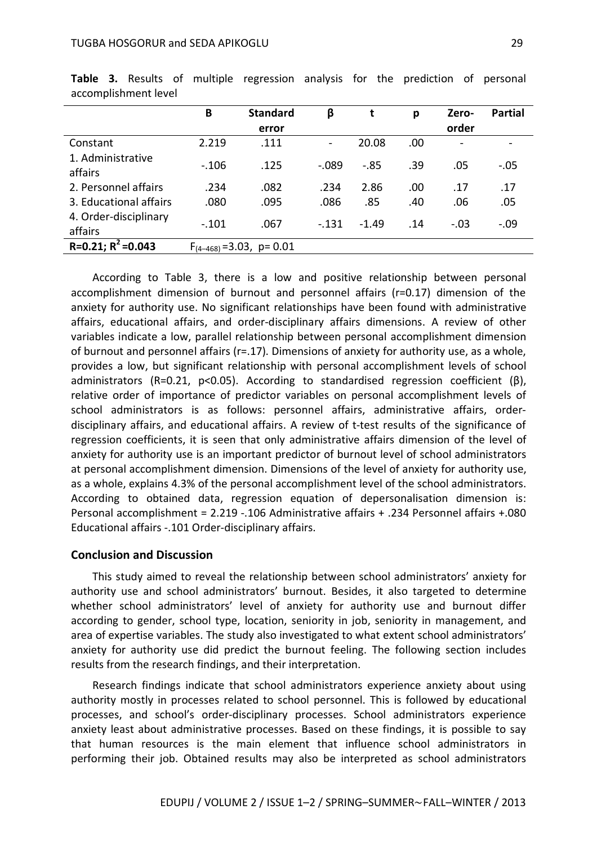|                                  | B       | <b>Standard</b><br>error       | β              | t       | p   | Zero-<br>order           | <b>Partial</b> |
|----------------------------------|---------|--------------------------------|----------------|---------|-----|--------------------------|----------------|
| Constant                         | 2.219   | .111                           | $\blacksquare$ | 20.08   | .00 | $\overline{\phantom{a}}$ |                |
| 1. Administrative<br>affairs     | $-.106$ | .125                           | $-.089$        | $-0.85$ | .39 | .05                      | $-.05$         |
| 2. Personnel affairs             | .234    | .082                           | .234           | 2.86    | .00 | .17                      | .17            |
| 3. Educational affairs           | .080    | .095                           | .086           | .85     | .40 | .06                      | .05            |
| 4. Order-disciplinary<br>affairs | $-.101$ | .067                           | $-131$         | $-1.49$ | .14 | $-.03$                   | $-.09$         |
| $R=0.21; R^2=0.043$              |         | $F_{(4-468)} = 3.03$ , p= 0.01 |                |         |     |                          |                |

**Table 3.** Results of multiple regression analysis for the prediction of personal accomplishment level

According to Table 3, there is a low and positive relationship between personal accomplishment dimension of burnout and personnel affairs (r=0.17) dimension of the anxiety for authority use. No significant relationships have been found with administrative affairs, educational affairs, and order-disciplinary affairs dimensions. A review of other variables indicate a low, parallel relationship between personal accomplishment dimension of burnout and personnel affairs (r=.17). Dimensions of anxiety for authority use, as a whole, provides a low, but significant relationship with personal accomplishment levels of school administrators (R=0.21, p<0.05). According to standardised regression coefficient (β), relative order of importance of predictor variables on personal accomplishment levels of school administrators is as follows: personnel affairs, administrative affairs, orderdisciplinary affairs, and educational affairs. A review of t-test results of the significance of regression coefficients, it is seen that only administrative affairs dimension of the level of anxiety for authority use is an important predictor of burnout level of school administrators at personal accomplishment dimension. Dimensions of the level of anxiety for authority use, as a whole, explains 4.3% of the personal accomplishment level of the school administrators. According to obtained data, regression equation of depersonalisation dimension is: Personal accomplishment = 2.219 -.106 Administrative affairs + .234 Personnel affairs +.080 Educational affairs -.101 Order-disciplinary affairs.

## **Conclusion and Discussion**

This study aimed to reveal the relationship between school administrators' anxiety for authority use and school administrators' burnout. Besides, it also targeted to determine whether school administrators' level of anxiety for authority use and burnout differ according to gender, school type, location, seniority in job, seniority in management, and area of expertise variables. The study also investigated to what extent school administrators' anxiety for authority use did predict the burnout feeling. The following section includes results from the research findings, and their interpretation.

Research findings indicate that school administrators experience anxiety about using authority mostly in processes related to school personnel. This is followed by educational processes, and school's order-disciplinary processes. School administrators experience anxiety least about administrative processes. Based on these findings, it is possible to say that human resources is the main element that influence school administrators in performing their job. Obtained results may also be interpreted as school administrators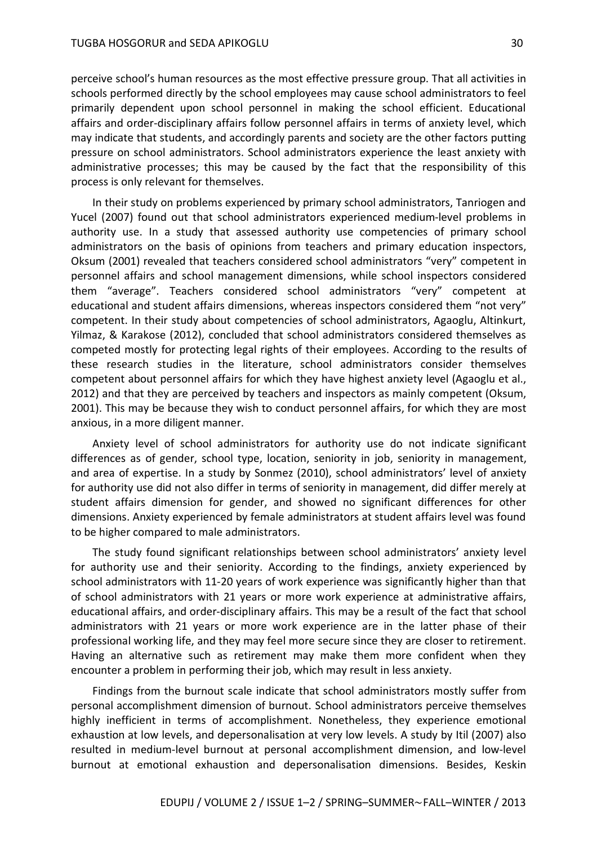perceive school's human resources as the most effective pressure group. That all activities in schools performed directly by the school employees may cause school administrators to feel primarily dependent upon school personnel in making the school efficient. Educational affairs and order-disciplinary affairs follow personnel affairs in terms of anxiety level, which may indicate that students, and accordingly parents and society are the other factors putting pressure on school administrators. School administrators experience the least anxiety with administrative processes; this may be caused by the fact that the responsibility of this process is only relevant for themselves.

In their study on problems experienced by primary school administrators, Tanriogen and Yucel (2007) found out that school administrators experienced medium-level problems in authority use. In a study that assessed authority use competencies of primary school administrators on the basis of opinions from teachers and primary education inspectors, Oksum (2001) revealed that teachers considered school administrators "very" competent in personnel affairs and school management dimensions, while school inspectors considered them "average". Teachers considered school administrators "very" competent at educational and student affairs dimensions, whereas inspectors considered them "not very" competent. In their study about competencies of school administrators, Agaoglu, Altinkurt, Yilmaz, & Karakose (2012), concluded that school administrators considered themselves as competed mostly for protecting legal rights of their employees. According to the results of these research studies in the literature, school administrators consider themselves competent about personnel affairs for which they have highest anxiety level (Agaoglu et al., 2012) and that they are perceived by teachers and inspectors as mainly competent (Oksum, 2001). This may be because they wish to conduct personnel affairs, for which they are most anxious, in a more diligent manner.

Anxiety level of school administrators for authority use do not indicate significant differences as of gender, school type, location, seniority in job, seniority in management, and area of expertise. In a study by Sonmez (2010), school administrators' level of anxiety for authority use did not also differ in terms of seniority in management, did differ merely at student affairs dimension for gender, and showed no significant differences for other dimensions. Anxiety experienced by female administrators at student affairs level was found to be higher compared to male administrators.

The study found significant relationships between school administrators' anxiety level for authority use and their seniority. According to the findings, anxiety experienced by school administrators with 11-20 years of work experience was significantly higher than that of school administrators with 21 years or more work experience at administrative affairs, educational affairs, and order-disciplinary affairs. This may be a result of the fact that school administrators with 21 years or more work experience are in the latter phase of their professional working life, and they may feel more secure since they are closer to retirement. Having an alternative such as retirement may make them more confident when they encounter a problem in performing their job, which may result in less anxiety.

Findings from the burnout scale indicate that school administrators mostly suffer from personal accomplishment dimension of burnout. School administrators perceive themselves highly inefficient in terms of accomplishment. Nonetheless, they experience emotional exhaustion at low levels, and depersonalisation at very low levels. A study by Itil (2007) also resulted in medium-level burnout at personal accomplishment dimension, and low-level burnout at emotional exhaustion and depersonalisation dimensions. Besides, Keskin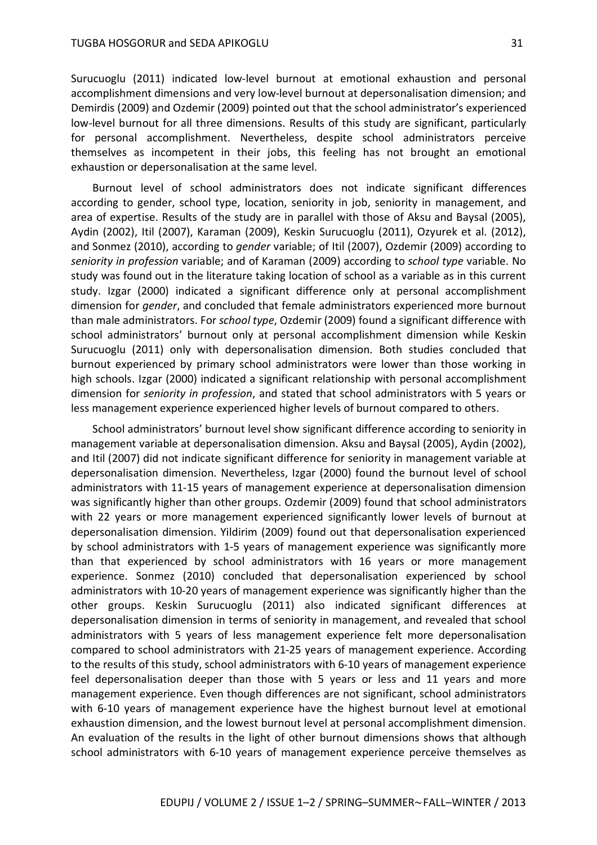Surucuoglu (2011) indicated low-level burnout at emotional exhaustion and personal accomplishment dimensions and very low-level burnout at depersonalisation dimension; and Demirdis (2009) and Ozdemir (2009) pointed out that the school administrator's experienced low-level burnout for all three dimensions. Results of this study are significant, particularly for personal accomplishment. Nevertheless, despite school administrators perceive themselves as incompetent in their jobs, this feeling has not brought an emotional exhaustion or depersonalisation at the same level.

Burnout level of school administrators does not indicate significant differences according to gender, school type, location, seniority in job, seniority in management, and area of expertise. Results of the study are in parallel with those of Aksu and Baysal (2005), Aydin (2002), Itil (2007), Karaman (2009), Keskin Surucuoglu (2011), Ozyurek et al. (2012), and Sonmez (2010), according to *gender* variable; of Itil (2007), Ozdemir (2009) according to *seniority in profession* variable; and of Karaman (2009) according to *school type* variable. No study was found out in the literature taking location of school as a variable as in this current study. Izgar (2000) indicated a significant difference only at personal accomplishment dimension for *gender*, and concluded that female administrators experienced more burnout than male administrators. For *school type*, Ozdemir (2009) found a significant difference with school administrators' burnout only at personal accomplishment dimension while Keskin Surucuoglu (2011) only with depersonalisation dimension. Both studies concluded that burnout experienced by primary school administrators were lower than those working in high schools. Izgar (2000) indicated a significant relationship with personal accomplishment dimension for *seniority in profession*, and stated that school administrators with 5 years or less management experience experienced higher levels of burnout compared to others.

School administrators' burnout level show significant difference according to seniority in management variable at depersonalisation dimension. Aksu and Baysal (2005), Aydin (2002), and Itil (2007) did not indicate significant difference for seniority in management variable at depersonalisation dimension. Nevertheless, Izgar (2000) found the burnout level of school administrators with 11-15 years of management experience at depersonalisation dimension was significantly higher than other groups. Ozdemir (2009) found that school administrators with 22 years or more management experienced significantly lower levels of burnout at depersonalisation dimension. Yildirim (2009) found out that depersonalisation experienced by school administrators with 1-5 years of management experience was significantly more than that experienced by school administrators with 16 years or more management experience. Sonmez (2010) concluded that depersonalisation experienced by school administrators with 10-20 years of management experience was significantly higher than the other groups. Keskin Surucuoglu (2011) also indicated significant differences at depersonalisation dimension in terms of seniority in management, and revealed that school administrators with 5 years of less management experience felt more depersonalisation compared to school administrators with 21-25 years of management experience. According to the results of this study, school administrators with 6-10 years of management experience feel depersonalisation deeper than those with 5 years or less and 11 years and more management experience. Even though differences are not significant, school administrators with 6-10 years of management experience have the highest burnout level at emotional exhaustion dimension, and the lowest burnout level at personal accomplishment dimension. An evaluation of the results in the light of other burnout dimensions shows that although school administrators with 6-10 years of management experience perceive themselves as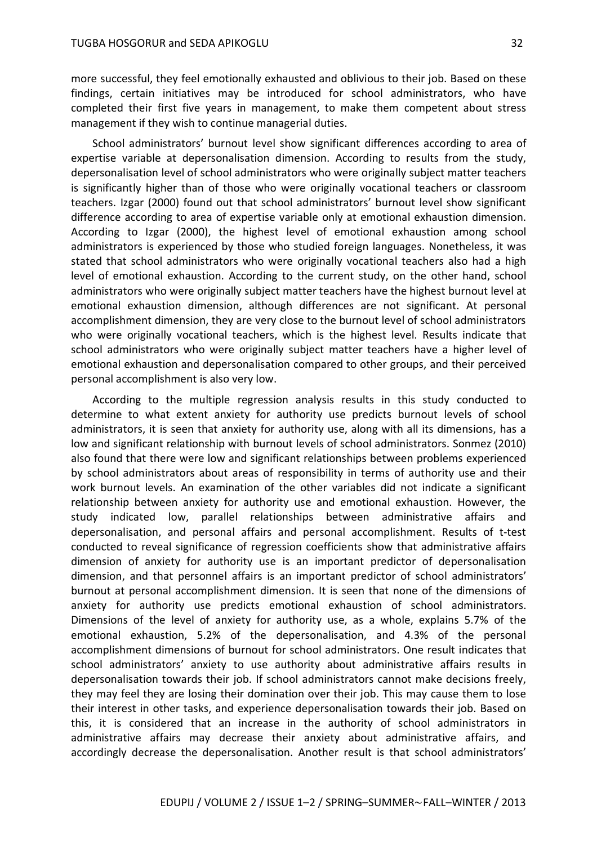more successful, they feel emotionally exhausted and oblivious to their job. Based on these findings, certain initiatives may be introduced for school administrators, who have completed their first five years in management, to make them competent about stress management if they wish to continue managerial duties.

School administrators' burnout level show significant differences according to area of expertise variable at depersonalisation dimension. According to results from the study, depersonalisation level of school administrators who were originally subject matter teachers is significantly higher than of those who were originally vocational teachers or classroom teachers. Izgar (2000) found out that school administrators' burnout level show significant difference according to area of expertise variable only at emotional exhaustion dimension. According to Izgar (2000), the highest level of emotional exhaustion among school administrators is experienced by those who studied foreign languages. Nonetheless, it was stated that school administrators who were originally vocational teachers also had a high level of emotional exhaustion. According to the current study, on the other hand, school administrators who were originally subject matter teachers have the highest burnout level at emotional exhaustion dimension, although differences are not significant. At personal accomplishment dimension, they are very close to the burnout level of school administrators who were originally vocational teachers, which is the highest level. Results indicate that school administrators who were originally subject matter teachers have a higher level of emotional exhaustion and depersonalisation compared to other groups, and their perceived personal accomplishment is also very low.

According to the multiple regression analysis results in this study conducted to determine to what extent anxiety for authority use predicts burnout levels of school administrators, it is seen that anxiety for authority use, along with all its dimensions, has a low and significant relationship with burnout levels of school administrators. Sonmez (2010) also found that there were low and significant relationships between problems experienced by school administrators about areas of responsibility in terms of authority use and their work burnout levels. An examination of the other variables did not indicate a significant relationship between anxiety for authority use and emotional exhaustion. However, the study indicated low, parallel relationships between administrative affairs and depersonalisation, and personal affairs and personal accomplishment. Results of t-test conducted to reveal significance of regression coefficients show that administrative affairs dimension of anxiety for authority use is an important predictor of depersonalisation dimension, and that personnel affairs is an important predictor of school administrators' burnout at personal accomplishment dimension. It is seen that none of the dimensions of anxiety for authority use predicts emotional exhaustion of school administrators. Dimensions of the level of anxiety for authority use, as a whole, explains 5.7% of the emotional exhaustion, 5.2% of the depersonalisation, and 4.3% of the personal accomplishment dimensions of burnout for school administrators. One result indicates that school administrators' anxiety to use authority about administrative affairs results in depersonalisation towards their job. If school administrators cannot make decisions freely, they may feel they are losing their domination over their job. This may cause them to lose their interest in other tasks, and experience depersonalisation towards their job. Based on this, it is considered that an increase in the authority of school administrators in administrative affairs may decrease their anxiety about administrative affairs, and accordingly decrease the depersonalisation. Another result is that school administrators'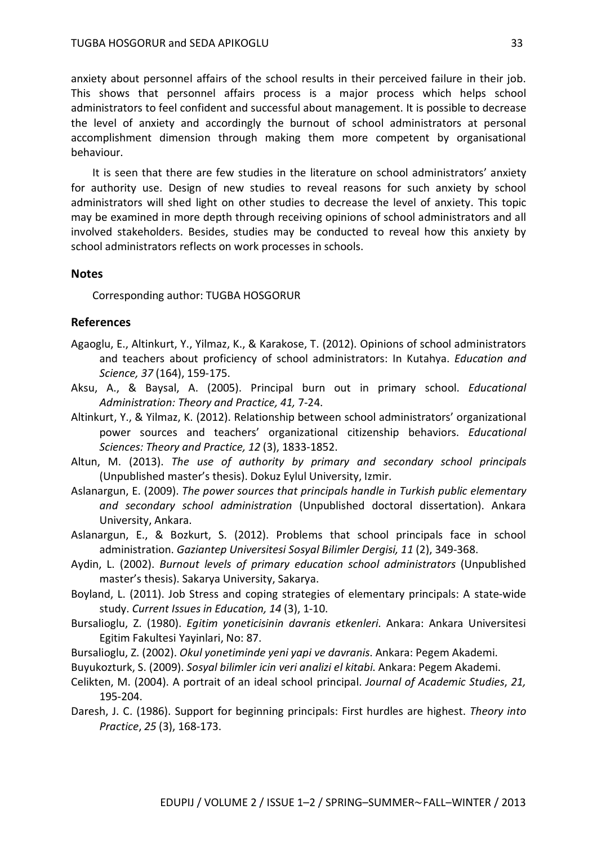anxiety about personnel affairs of the school results in their perceived failure in their job. This shows that personnel affairs process is a major process which helps school administrators to feel confident and successful about management. It is possible to decrease the level of anxiety and accordingly the burnout of school administrators at personal accomplishment dimension through making them more competent by organisational behaviour.

It is seen that there are few studies in the literature on school administrators' anxiety for authority use. Design of new studies to reveal reasons for such anxiety by school administrators will shed light on other studies to decrease the level of anxiety. This topic may be examined in more depth through receiving opinions of school administrators and all involved stakeholders. Besides, studies may be conducted to reveal how this anxiety by school administrators reflects on work processes in schools.

#### **Notes**

Corresponding author: TUGBA HOSGORUR

# **References**

- Agaoglu, E., Altinkurt, Y., Yilmaz, K., & Karakose, T. (2012). Opinions of school administrators and teachers about proficiency of school administrators: In Kutahya. *Education and Science, 37* (164), 159-175.
- Aksu, A., & Baysal, A. (2005). Principal burn out in primary school. *Educational Administration: Theory and Practice, 41,* 7-24.
- Altinkurt, Y., & Yilmaz, K. (2012). Relationship between school administrators' organizational power sources and teachers' organizational citizenship behaviors. *Educational Sciences: Theory and Practice, 12* (3), 1833-1852.
- Altun, M. (2013). *The use of authority by primary and secondary school principals*  (Unpublished master's thesis). Dokuz Eylul University, Izmir.
- Aslanargun, E. (2009). *The power sources that principals handle in Turkish public elementary and secondary school administration* (Unpublished doctoral dissertation). Ankara University, Ankara.
- Aslanargun, E., & Bozkurt, S. (2012). Problems that school principals face in school administration. *Gaziantep Universitesi Sosyal Bilimler Dergisi, 11* (2), 349-368.
- Aydin, L. (2002). *Burnout levels of primary education school administrators* (Unpublished master's thesis). Sakarya University, Sakarya.
- Boyland, L. (2011). Job Stress and coping strategies of elementary principals: A state-wide study. *Current Issues in Education, 14* (3), 1-10.
- Bursalioglu, Z. (1980). *Egitim yoneticisinin davranis etkenleri*. Ankara: Ankara Universitesi Egitim Fakultesi Yayinlari, No: 87.
- Bursalioglu, Z. (2002). *Okul yonetiminde yeni yapi ve davranis*. Ankara: Pegem Akademi.
- Buyukozturk, S. (2009). *Sosyal bilimler icin veri analizi el kitabi*. Ankara: Pegem Akademi.
- Celikten, M. (2004). A portrait of an ideal school principal. *Journal of Academic Studies*, *21,* 195-204.
- Daresh, J. C. (1986). Support for beginning principals: First hurdles are highest. *Theory into Practice*, *25* (3), 168-173.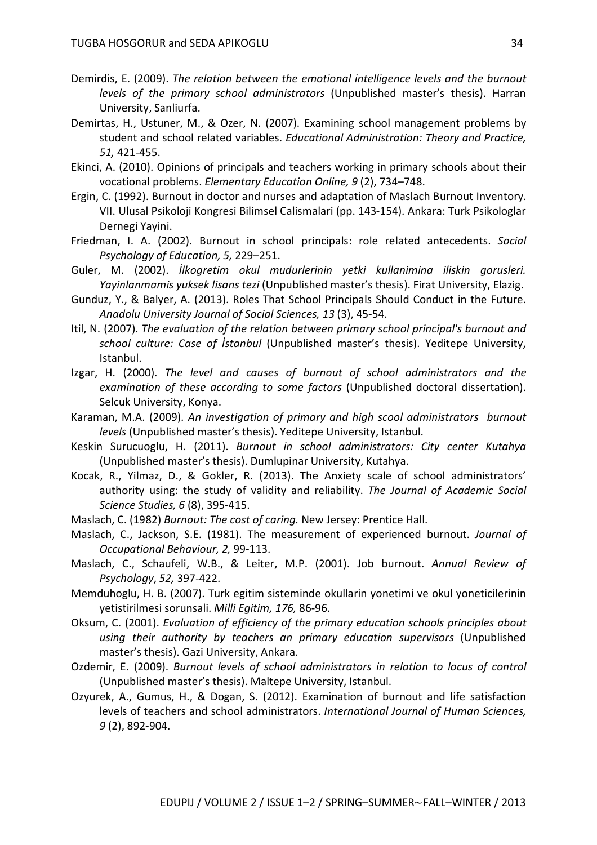- Demirdis, E. (2009). *The relation between the emotional intelligence levels and the burnout levels of the primary school administrators* (Unpublished master's thesis). Harran University, Sanliurfa.
- Demirtas, H., Ustuner, M., & Ozer, N. (2007). Examining school management problems by student and school related variables. *Educational Administration: Theory and Practice, 51,* 421-455.
- Ekinci, A. (2010). Opinions of principals and teachers working in primary schools about their vocational problems. *Elementary Education Online, 9* (2), 734–748.
- Ergin, C. (1992). Burnout in doctor and nurses and adaptation of Maslach Burnout Inventory. VII. Ulusal Psikoloji Kongresi Bilimsel Calismalari (pp. 143-154). Ankara: Turk Psikologlar Dernegi Yayini.
- Friedman, I. A. (2002). Burnout in school principals: role related antecedents. *Social Psychology of Education, 5,* 229–251.
- Guler, M. (2002). *İlkogretim okul mudurlerinin yetki kullanimina iliskin gorusleri. Yayinlanmamis yuksek lisans tezi* (Unpublished master's thesis). Firat University, Elazig.
- Gunduz, Y., & Balyer, A. (2013). Roles That School Principals Should Conduct in the Future. *Anadolu University Journal of Social Sciences, 13* (3), 45-54.
- Itil, N. (2007). *The evaluation of the relation between primary school principal's burnout and school culture: Case of İstanbul* (Unpublished master's thesis). Yeditepe University, Istanbul.
- Izgar, H. (2000). *The level and causes of burnout of school administrators and the examination of these according to some factors* (Unpublished doctoral dissertation). Selcuk University, Konya.
- Karaman, M.A. (2009). *An investigation of primary and high scool administrators burnout levels* (Unpublished master's thesis). Yeditepe University, Istanbul.
- Keskin Surucuoglu, H. (2011). *Burnout in school administrators: City center Kutahya*  (Unpublished master's thesis). Dumlupinar University, Kutahya.
- Kocak, R., Yilmaz, D., & Gokler, R. (2013). The Anxiety scale of school administrators' authority using: the study of validity and reliability. *The Journal of Academic Social Science Studies, 6* (8), 395-415.
- Maslach, C. (1982) *Burnout: The cost of caring.* New Jersey: Prentice Hall.
- Maslach, C., Jackson, S.E. (1981). The measurement of experienced burnout. *Journal of Occupational Behaviour, 2,* 99-113.
- Maslach, C., Schaufeli, W.B., & Leiter, M.P. (2001). Job burnout. *Annual Review of Psychology*, *52,* 397-422.
- Memduhoglu, H. B. (2007). Turk egitim sisteminde okullarin yonetimi ve okul yoneticilerinin yetistirilmesi sorunsali. *Milli Egitim, 176,* 86-96.
- Oksum, C. (2001). *Evaluation of efficiency of the primary education schools principles about using their authority by teachers an primary education supervisors* (Unpublished master's thesis). Gazi University, Ankara.
- Ozdemir, E. (2009). *Burnout levels of school administrators in relation to locus of control*  (Unpublished master's thesis). Maltepe University, Istanbul.
- Ozyurek, A., Gumus, H., & Dogan, S. (2012). Examination of burnout and life satisfaction levels of teachers and school administrators. *International Journal of Human Sciences, 9* (2), 892-904.